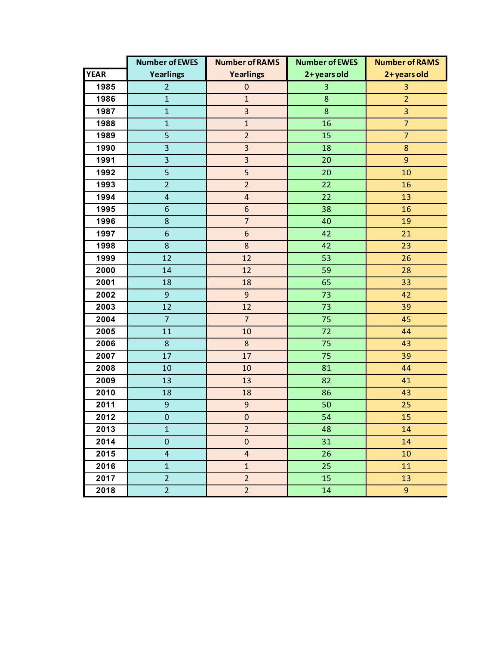|             | <b>Number of EWES</b>   | <b>Number of RAMS</b>   | <b>Number of EWES</b> | <b>Number of RAMS</b> |
|-------------|-------------------------|-------------------------|-----------------------|-----------------------|
| <b>YEAR</b> | Yearlings               | <b>Yearlings</b>        | 2+ years old          | 2+ years old          |
| 1985        | $\overline{2}$          | $\mathbf 0$             | 3                     | 3                     |
| 1986        | $\mathbf{1}$            | $\mathbf{1}$            | 8                     | $\overline{2}$        |
| 1987        | $\mathbf{1}$            | $\overline{\mathbf{3}}$ | 8                     | 3                     |
| 1988        | $\mathbf{1}$            | $\mathbf{1}$            | 16                    | $\overline{7}$        |
| 1989        | 5                       | $\overline{2}$          | 15                    | $\overline{7}$        |
| 1990        | 3                       | 3                       | 18                    | $\bf 8$               |
| 1991        | 3                       | $\overline{\mathbf{3}}$ | 20                    | $\overline{9}$        |
| 1992        | 5                       | 5                       | 20                    | 10                    |
| 1993        | $\overline{2}$          | $\overline{2}$          | 22                    | 16                    |
| 1994        | $\overline{\mathbf{r}}$ | $\overline{4}$          | 22                    | 13                    |
| 1995        | 6                       | $\boldsymbol{6}$        | 38                    | 16                    |
| 1996        | 8                       | $\overline{7}$          | 40                    | 19                    |
| 1997        | 6                       | $6\,$                   | 42                    | 21                    |
| 1998        | 8                       | 8                       | 42                    | 23                    |
| 1999        | 12                      | 12                      | 53                    | 26                    |
| 2000        | 14                      | 12                      | 59                    | 28                    |
| 2001        | 18                      | 18                      | 65                    | 33                    |
| 2002        | 9                       | $\overline{9}$          | 73                    | 42                    |
| 2003        | 12                      | 12                      | 73                    | 39                    |
| 2004        | $\overline{7}$          | $\overline{7}$          | 75                    | 45                    |
| 2005        | 11                      | 10                      | 72                    | 44                    |
| 2006        | 8                       | 8                       | 75                    | 43                    |
| 2007        | 17                      | 17                      | 75                    | 39                    |
| 2008        | 10                      | 10                      | 81                    | 44                    |
| 2009        | 13                      | 13                      | 82                    | 41                    |
| 2010        | 18                      | 18                      | 86                    | 43                    |
| 2011        | $\boldsymbol{9}$        | 9                       | 50                    | 25                    |
| 2012        | $\mathbf 0$             | $\mathbf 0$             | 54                    | 15                    |
| 2013        | $\mathbf{1}$            | $\overline{2}$          | 48                    | 14                    |
| 2014        | $\mathbf 0$             | $\pmb{0}$               | 31                    | 14                    |
| 2015        | $\overline{4}$          | $\overline{4}$          | 26                    | 10                    |
| 2016        | $\mathbf{1}$            | $\mathbf{1}$            | 25                    | 11                    |
| 2017        | $\overline{2}$          | $\overline{2}$          | 15                    | 13                    |
| 2018        | $\overline{2}$          | $\overline{2}$          | 14                    | 9 <sup>°</sup>        |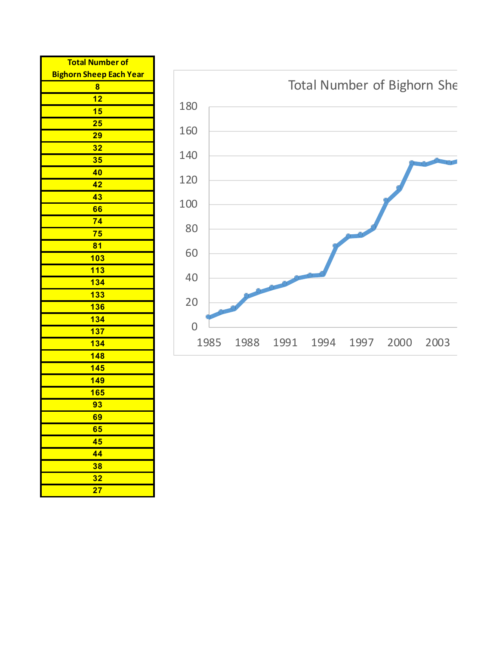| <b>Total Number of</b>         |  |  |  |  |
|--------------------------------|--|--|--|--|
| <b>Bighorn Sheep Each Year</b> |  |  |  |  |
| 8                              |  |  |  |  |
| 12                             |  |  |  |  |
| 15                             |  |  |  |  |
| 25                             |  |  |  |  |
| 29                             |  |  |  |  |
| 32                             |  |  |  |  |
| 35                             |  |  |  |  |
| 40                             |  |  |  |  |
| 42                             |  |  |  |  |
| 43                             |  |  |  |  |
| 66                             |  |  |  |  |
| 74                             |  |  |  |  |
| 75                             |  |  |  |  |
| 81                             |  |  |  |  |
| 103                            |  |  |  |  |
| 113                            |  |  |  |  |
| 134                            |  |  |  |  |
| 133                            |  |  |  |  |
| <b>136</b>                     |  |  |  |  |
| 134                            |  |  |  |  |
| 137                            |  |  |  |  |
| 134                            |  |  |  |  |
| 148                            |  |  |  |  |
| <b>145</b>                     |  |  |  |  |
| <b>149</b>                     |  |  |  |  |
| <b>165</b>                     |  |  |  |  |
| 93                             |  |  |  |  |
| 69                             |  |  |  |  |
| 65                             |  |  |  |  |
| 45                             |  |  |  |  |
| 44                             |  |  |  |  |
| 38                             |  |  |  |  |
| 32                             |  |  |  |  |
| 27                             |  |  |  |  |